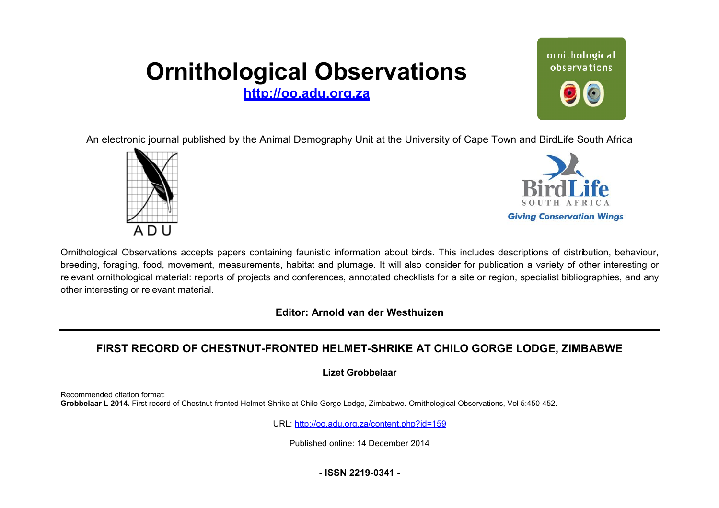# **Ornithological Observations**

**<http://oo.adu.org.za>**



An electronic journal published by the Animal Demography Unit at the University of Cape Town and BirdLife South Africa





Ornithological Observations accepts papers containing faunistic information about birds. This includes descriptions of distribution, behaviour, breeding, foraging, food, movement, measurements, habitat and plumage. It will also consider for publication a variety of other interesting or relevant ornithological material: reports of projects and conferences, annotated checklists for a site or region, specialist bibliographies, and any other interesting or relevant material.

**Editor: Arnold van der Westhuizen itor:**

## FIRST RECORD OF CHESTNUT-FRONTED HELMET-SHRIKE AT CHILO GORGE LODGE, ZIMBABWE

**Lizet Grobbelaar** 

Recommended citation format: Grobbelaar L 2014. First record of Chestnut-fronted Helmet-Shrike at Chilo Gorge Lodge, Zimbabwe. Ornithological Observations, Vol 5:450-452.

URL: <http://oo.adu.org.za/content.php?id=159>

Published online: 14 December 2014

**- ISSN 2219-0341 -**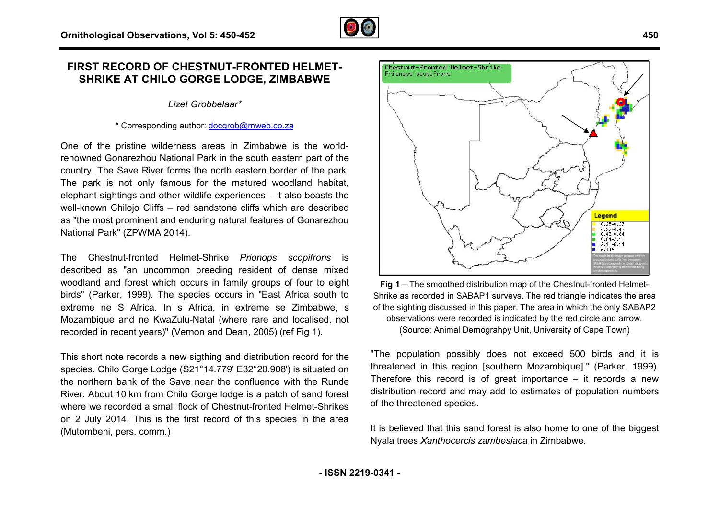### **FIRST RECORD OF CHESTNUT-FRONTED HELMET FRONTED HELMET-SHRIKE AT CHILO GORGE LODGE, ZIMBABWE E**

#### *Lizet Grobbelaar\**

#### \* Corresponding author: **docgrob@mweb.co.za**

One of the pristine wilderness areas in Zimbabwe is the worldrenowned Gonarezhou National Park in the south eastern part of the country. The Save River forms the north eastern border of the park. The park is not only famous for the matured woodland habitat, elephant sightings and other wildlife experiences – it also boasts the well-known Chilojo Cliffs – red sandstone cliffs which are described as "the most prominent and enduring natural features of Gonarezhou National Park" (ZPWMA 2014).

The Chestnut-fronted Helmet-Shrike *Prionops scopifrons* is described as "an uncommon breeding resident of dense mixed woodland and forest which occurs in family groups of four to eight birds" (Parker, 1999). The species occurs in "East Africa south to extreme ne S Africa. In s Africa, in extreme se Zimbabwe, s birds" (Parker, 1999). The species occurs in "East Africa south to<br>extreme ne S Africa. In s Africa, in extreme se Zimbabwe, s<br>Mozambique and ne KwaZulu-Natal (where rare and localised, not recorded in recent years)" (Vernon and Dean, 2005) (ref Fig 1).

This short note records a new sigthing and distribution record for the species. Chilo Gorge Lodge (S21°14.779' E32°20.908') is situated on the northern bank of the Save near the confluence with the Runde River. About 10 km from Chilo Gorge lodge is a patch of sand forest where we recorded a small flock of Chestnut-fronted Helmet-Shrikes on 2 July 2014. This is the first record of this species in the area (Mutombeni, pers. comm.) es. Chilo Gorge Lodge (S21°14.779' E32°20.908') is situated on<br>orthern bank of the Save near the confluence with the Runde<br>. About 10 km from Chilo Gorge lodge is a patch of sand forest<br>e we recorded a small flock of Chest



Chestnut-fronted Helmet-Shrike

Prionops scopifrons

(Source: Animal Demograhpy Unit, University of Cape Town)

"The population possibly does not exceed 500 birds and it is threatened in this region [southern Mozambique]." (Parker, 1999) 1999). Therefore this record is of great importance – it records a new distribution record and may add to estimates of population numbers of the threatened species.

It is believed that this sand forest is also home to one of the biggest Nyala trees *Xanthocercis zambesiaca* in Zimbabwe.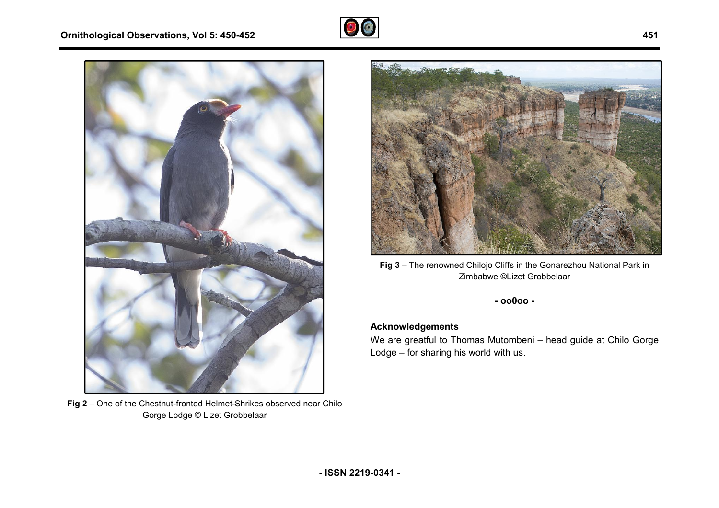



**Fig 2** – One of the Chestnut-fronted Helmet-Shrikes observed near Chilo Gorge Lodge © Lizet Grobbelaar



Zimbabwe ©Lizet Grobbelaar

**- oo0oo -** 

#### **Acknowledgements**

We are greatful to Thomas Mutombeni – head guide at Chilo Gorge Lodge – for sharing his world with us.